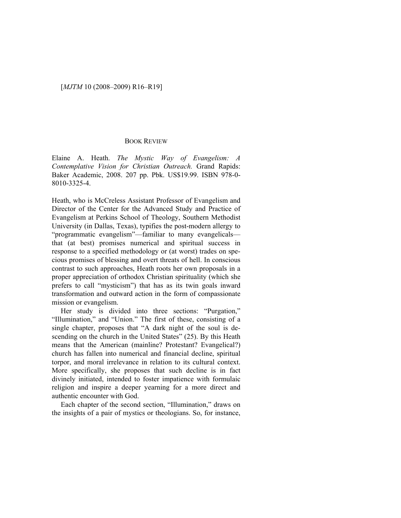## [*MJTM* 10 (2008–2009) R16–R19]

## BOOK REVIEW

Elaine A. Heath. *The Mystic Way of Evangelism: A Contemplative Vision for Christian Outreach.* Grand Rapids: Baker Academic, 2008. 207 pp. Pbk. US\$19.99. ISBN 978-0- 8010-3325-4.

Heath, who is McCreless Assistant Professor of Evangelism and Director of the Center for the Advanced Study and Practice of Evangelism at Perkins School of Theology, Southern Methodist University (in Dallas, Texas), typifies the post-modern allergy to "programmatic evangelism"—familiar to many evangelicals that (at best) promises numerical and spiritual success in response to a specified methodology or (at worst) trades on specious promises of blessing and overt threats of hell. In conscious contrast to such approaches, Heath roots her own proposals in a proper appreciation of orthodox Christian spirituality (which she prefers to call "mysticism") that has as its twin goals inward transformation and outward action in the form of compassionate mission or evangelism.

Her study is divided into three sections: "Purgation," "Illumination," and "Union." The first of these, consisting of a single chapter, proposes that "A dark night of the soul is descending on the church in the United States" (25). By this Heath means that the American (mainline? Protestant? Evangelical?) church has fallen into numerical and financial decline, spiritual torpor, and moral irrelevance in relation to its cultural context. More specifically, she proposes that such decline is in fact divinely initiated, intended to foster impatience with formulaic religion and inspire a deeper yearning for a more direct and authentic encounter with God.

Each chapter of the second section, "Illumination," draws on the insights of a pair of mystics or theologians. So, for instance,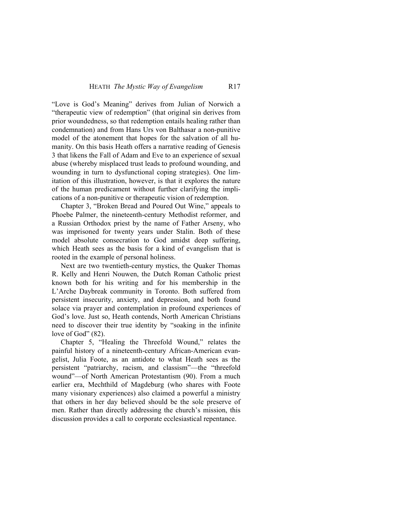"Love is God's Meaning" derives from Julian of Norwich a "therapeutic view of redemption" (that original sin derives from prior woundedness, so that redemption entails healing rather than condemnation) and from Hans Urs von Balthasar a non-punitive model of the atonement that hopes for the salvation of all humanity. On this basis Heath offers a narrative reading of Genesis 3 that likens the Fall of Adam and Eve to an experience of sexual abuse (whereby misplaced trust leads to profound wounding, and wounding in turn to dysfunctional coping strategies). One limitation of this illustration, however, is that it explores the nature of the human predicament without further clarifying the implications of a non-punitive or therapeutic vision of redemption.

Chapter 3, "Broken Bread and Poured Out Wine," appeals to Phoebe Palmer, the nineteenth-century Methodist reformer, and a Russian Orthodox priest by the name of Father Arseny, who was imprisoned for twenty years under Stalin. Both of these model absolute consecration to God amidst deep suffering, which Heath sees as the basis for a kind of evangelism that is rooted in the example of personal holiness.

Next are two twentieth-century mystics, the Quaker Thomas R. Kelly and Henri Nouwen, the Dutch Roman Catholic priest known both for his writing and for his membership in the L'Arche Daybreak community in Toronto. Both suffered from persistent insecurity, anxiety, and depression, and both found solace via prayer and contemplation in profound experiences of God's love. Just so, Heath contends, North American Christians need to discover their true identity by "soaking in the infinite love of God" (82).

Chapter 5, "Healing the Threefold Wound," relates the painful history of a nineteenth-century African-American evangelist, Julia Foote, as an antidote to what Heath sees as the persistent "patriarchy, racism, and classism"—the "threefold wound"—of North American Protestantism (90). From a much earlier era, Mechthild of Magdeburg (who shares with Foote many visionary experiences) also claimed a powerful a ministry that others in her day believed should be the sole preserve of men. Rather than directly addressing the church's mission, this discussion provides a call to corporate ecclesiastical repentance.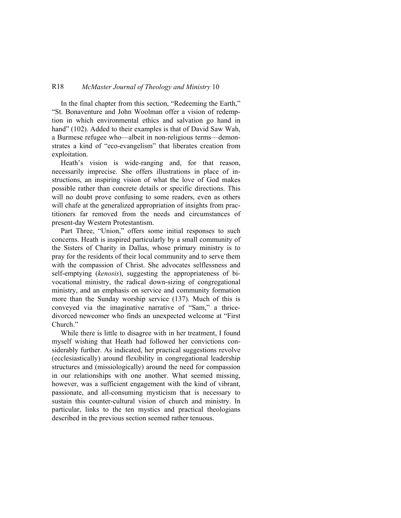## R18 *McMaster Journal of Theology and Ministry* 10

In the final chapter from this section, "Redeeming the Earth," "St. Bonaventure and John Woolman offer a vision of redemption in which environmental ethics and salvation go hand in hand" (102). Added to their examples is that of David Saw Wah, a Burmese refugee who—albeit in non-religious terms—demonstrates a kind of "eco-evangelism" that liberates creation from exploitation.

Heath's vision is wide-ranging and, for that reason, necessarily imprecise. She offers illustrations in place of instructions, an inspiring vision of what the love of God makes possible rather than concrete details or specific directions. This will no doubt prove confusing to some readers, even as others will chafe at the generalized appropriation of insights from practitioners far removed from the needs and circumstances of present-day Western Protestantism.

Part Three, "Union," offers some initial responses to such concerns. Heath is inspired particularly by a small community of the Sisters of Charity in Dallas, whose primary ministry is to pray for the residents of their local community and to serve them with the compassion of Christ. She advocates selflessness and self-emptying (*kenosis*), suggesting the appropriateness of bivocational ministry, the radical down-sizing of congregational ministry, and an emphasis on service and community formation more than the Sunday worship service (137). Much of this is conveyed via the imaginative narrative of "Sam," a thricedivorced newcomer who finds an unexpected welcome at "First Church."

While there is little to disagree with in her treatment, I found myself wishing that Heath had followed her convictions considerably further. As indicated, her practical suggestions revolve (ecclesiastically) around flexibility in congregational leadership structures and (missiologically) around the need for compassion in our relationships with one another. What seemed missing, however, was a sufficient engagement with the kind of vibrant, passionate, and all-consuming mysticism that is necessary to sustain this counter-cultural vision of church and ministry. In particular, links to the ten mystics and practical theologians described in the previous section seemed rather tenuous.